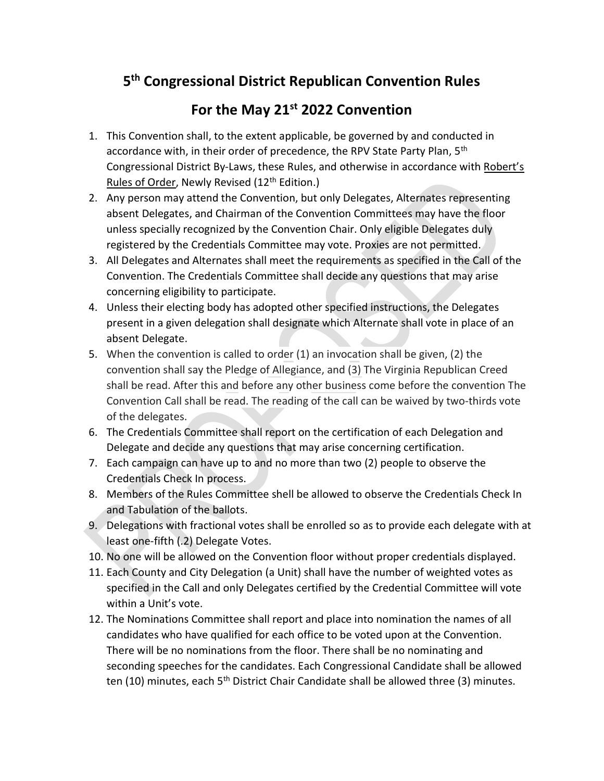## 5<sup>th</sup> Congressional District Republican Convention Rules

## For the May 21<sup>st</sup> 2022 Convention

- 1. This Convention shall, to the extent applicable, be governed by and conducted in accordance with, in their order of precedence, the RPV State Party Plan, 5<sup>th</sup> Congressional District By-Laws, these Rules, and otherwise in accordance with Robert's Rules of Order, Newly Revised (12<sup>th</sup> Edition.)
- 2. Any person may attend the Convention, but only Delegates, Alternates representing absent Delegates, and Chairman of the Convention Committees may have the floor unless specially recognized by the Convention Chair. Only eligible Delegates duly registered by the Credentials Committee may vote. Proxies are not permitted.
- 3. All Delegates and Alternates shall meet the requirements as specified in the Call of the Convention. The Credentials Committee shall decide any questions that may arise concerning eligibility to participate.
- 4. Unless their electing body has adopted other specified instructions, the Delegates present in a given delegation shall designate which Alternate shall vote in place of an absent Delegate.
- 5. When the convention is called to order (1) an invocation shall be given, (2) the convention shall say the Pledge of Allegiance, and (3) The Virginia Republican Creed shall be read. After this and before any other business come before the convention The Convention Call shall be read. The reading of the call can be waived by two-thirds vote of the delegates.
- 6. The Credentials Committee shall report on the certification of each Delegation and Delegate and decide any questions that may arise concerning certification.
- 7. Each campaign can have up to and no more than two (2) people to observe the Credentials Check In process.
- 8. Members of the Rules Committee shell be allowed to observe the Credentials Check In and Tabulation of the ballots.
- 9. Delegations with fractional votes shall be enrolled so as to provide each delegate with at least one-fifth (.2) Delegate Votes.
- 10. No one will be allowed on the Convention floor without proper credentials displayed.
- 11. Each County and City Delegation (a Unit) shall have the number of weighted votes as specified in the Call and only Delegates certified by the Credential Committee will vote within a Unit's vote.
- 12. The Nominations Committee shall report and place into nomination the names of all candidates who have qualified for each office to be voted upon at the Convention. There will be no nominations from the floor. There shall be no nominating and seconding speeches for the candidates. Each Congressional Candidate shall be allowed ten (10) minutes, each 5<sup>th</sup> District Chair Candidate shall be allowed three (3) minutes.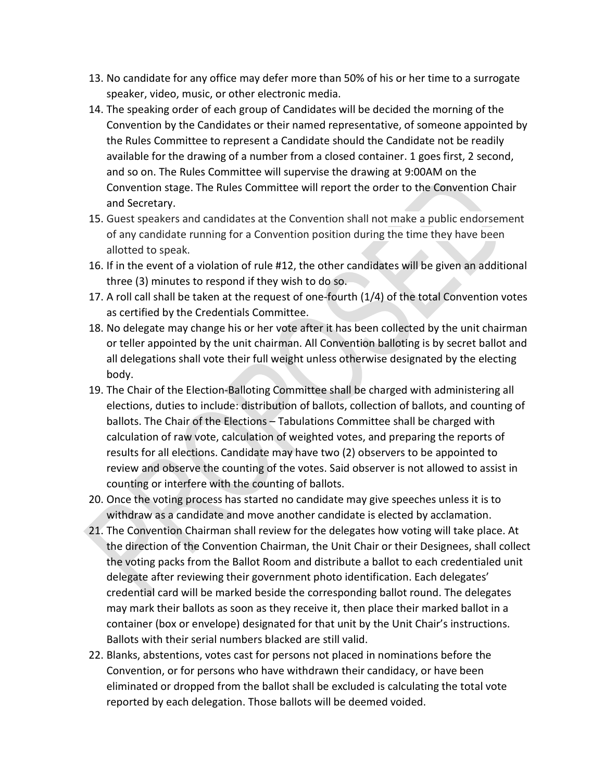- 13. No candidate for any office may defer more than 50% of his or her time to a surrogate speaker, video, music, or other electronic media.
- 14. The speaking order of each group of Candidates will be decided the morning of the Convention by the Candidates or their named representative, of someone appointed by the Rules Committee to represent a Candidate should the Candidate not be readily available for the drawing of a number from a closed container. 1 goes first, 2 second, and so on. The Rules Committee will supervise the drawing at 9:00AM on the Convention stage. The Rules Committee will report the order to the Convention Chair and Secretary.
- 15. Guest speakers and candidates at the Convention shall not make a public endorsement of any candidate running for a Convention position during the time they have been allotted to speak.
- 16. If in the event of a violation of rule #12, the other candidates will be given an additional three (3) minutes to respond if they wish to do so.
- 17. A roll call shall be taken at the request of one-fourth (1/4) of the total Convention votes as certified by the Credentials Committee.
- 18. No delegate may change his or her vote after it has been collected by the unit chairman or teller appointed by the unit chairman. All Convention balloting is by secret ballot and all delegations shall vote their full weight unless otherwise designated by the electing body.
- 19. The Chair of the Election-Balloting Committee shall be charged with administering all elections, duties to include: distribution of ballots, collection of ballots, and counting of ballots. The Chair of the Elections – Tabulations Committee shall be charged with calculation of raw vote, calculation of weighted votes, and preparing the reports of results for all elections. Candidate may have two (2) observers to be appointed to review and observe the counting of the votes. Said observer is not allowed to assist in counting or interfere with the counting of ballots.
- 20. Once the voting process has started no candidate may give speeches unless it is to withdraw as a candidate and move another candidate is elected by acclamation.
- 21. The Convention Chairman shall review for the delegates how voting will take place. At the direction of the Convention Chairman, the Unit Chair or their Designees, shall collect the voting packs from the Ballot Room and distribute a ballot to each credentialed unit delegate after reviewing their government photo identification. Each delegates' credential card will be marked beside the corresponding ballot round. The delegates may mark their ballots as soon as they receive it, then place their marked ballot in a container (box or envelope) designated for that unit by the Unit Chair's instructions. Ballots with their serial numbers blacked are still valid.
- 22. Blanks, abstentions, votes cast for persons not placed in nominations before the Convention, or for persons who have withdrawn their candidacy, or have been eliminated or dropped from the ballot shall be excluded is calculating the total vote reported by each delegation. Those ballots will be deemed voided.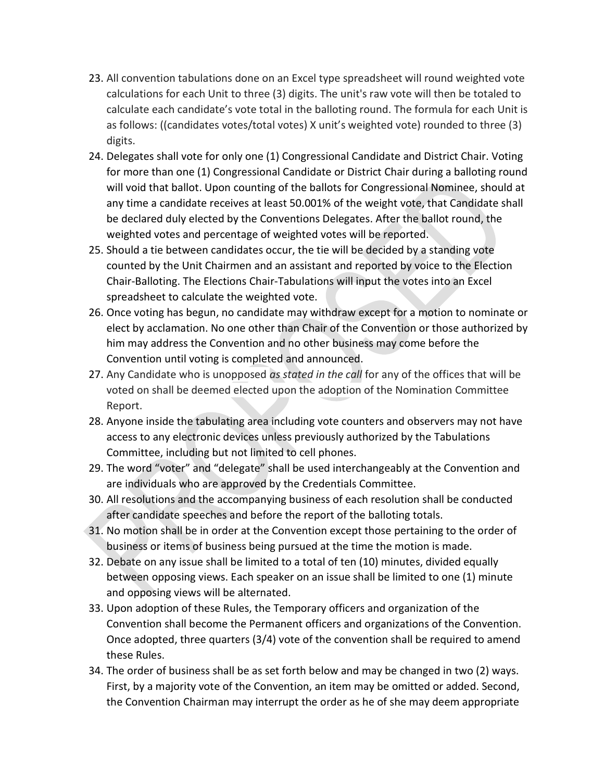- 23. All convention tabulations done on an Excel type spreadsheet will round weighted vote calculations for each Unit to three (3) digits. The unit's raw vote will then be totaled to calculate each candidate's vote total in the balloting round. The formula for each Unit is as follows: ((candidates votes/total votes) X unit's weighted vote) rounded to three (3) digits.
- 24. Delegates shall vote for only one (1) Congressional Candidate and District Chair. Voting for more than one (1) Congressional Candidate or District Chair during a balloting round will void that ballot. Upon counting of the ballots for Congressional Nominee, should at any time a candidate receives at least 50.001% of the weight vote, that Candidate shall be declared duly elected by the Conventions Delegates. After the ballot round, the weighted votes and percentage of weighted votes will be reported.
- 25. Should a tie between candidates occur, the tie will be decided by a standing vote counted by the Unit Chairmen and an assistant and reported by voice to the Election Chair-Balloting. The Elections Chair-Tabulations will input the votes into an Excel spreadsheet to calculate the weighted vote.
- 26. Once voting has begun, no candidate may withdraw except for a motion to nominate or elect by acclamation. No one other than Chair of the Convention or those authorized by him may address the Convention and no other business may come before the Convention until voting is completed and announced.
- 27. Any Candidate who is unopposed as stated in the call for any of the offices that will be voted on shall be deemed elected upon the adoption of the Nomination Committee Report.
- 28. Anyone inside the tabulating area including vote counters and observers may not have access to any electronic devices unless previously authorized by the Tabulations Committee, including but not limited to cell phones.
- 29. The word "voter" and "delegate" shall be used interchangeably at the Convention and are individuals who are approved by the Credentials Committee.
- 30. All resolutions and the accompanying business of each resolution shall be conducted after candidate speeches and before the report of the balloting totals.
- 31. No motion shall be in order at the Convention except those pertaining to the order of business or items of business being pursued at the time the motion is made.
- 32. Debate on any issue shall be limited to a total of ten (10) minutes, divided equally between opposing views. Each speaker on an issue shall be limited to one (1) minute and opposing views will be alternated.
- 33. Upon adoption of these Rules, the Temporary officers and organization of the Convention shall become the Permanent officers and organizations of the Convention. Once adopted, three quarters (3/4) vote of the convention shall be required to amend these Rules.
- 34. The order of business shall be as set forth below and may be changed in two (2) ways. First, by a majority vote of the Convention, an item may be omitted or added. Second, the Convention Chairman may interrupt the order as he of she may deem appropriate